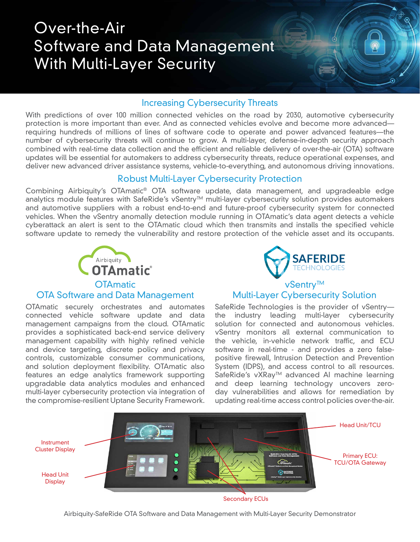# Over-the-Air Software and Data Management With Multi-Layer Security

#### Increasing Cybersecurity Threats

With predictions of over 100 million connected vehicles on the road by 2030, automotive cybersecurity protection is more important than ever. And as connected vehicles evolve and become more advanced requiring hundreds of millions of lines of software code to operate and power advanced features—the number of cybersecurity threats will continue to grow. A multi-layer, defense-in-depth security approach combined with real-time data collection and the efficient and reliable delivery of over-the-air (OTA) software updates will be essential for automakers to address cybersecurity threats, reduce operational expenses, and deliver new advanced driver assistance systems, vehicle-to-everything, and autonomous driving innovations.

### Robust Multi-Layer Cybersecurity Protection

Combining Airbiquity's OTAmatic® OTA software update, data management, and upgradeable edge analytics module features with SafeRide's vSentry™ multi-layer cybersecurity solution provides automakers and automotive suppliers with a robust end-to-end and future-proof cybersecurity system for connected vehicles. When the vSentry anomally detection module running in OTAmatic's data agent detects a vehicle cyberattack an alert is sent to the OTAmatic cloud which then transmits and installs the specified vehicle software update to remedy the vulnerability and restore protection of the vehicle asset and its occupants.



OTA Software and Data Management

# **SAFERIDE FCHNOLOGIES**

۵

### vSentry™ Multi-Layer Cybersecurity Solution

OTAmatic securely orchestrates and automates connected vehicle software update and data management campaigns from the cloud. OTAmatic provides a sophisticated back-end service delivery management capability with highly refined vehicle and device targeting, discrete policy and privacy controls, customizable consumer communications, and solution deployment flexibility. OTAmatic also features an edge analytics framework supporting upgradable data analytics modules and enhanced multi-layer cybersecurity protection via integration of the compromise-resilient Uptane Security Framework. SafeRide Technologies is the provider of vSentry the industry leading multi-layer cybersecurity solution for connected and autonomous vehicles. vSentry monitors all external communication to the vehicle, in-vehicle network traffic, and ECU software in real-time - and provides a zero falsepositive firewall, Intrusion Detection and Prevention System (IDPS), and access control to all resources. SafeRide's vXRay™ advanced AI machine learning and deep learning technology uncovers zeroday vulnerabilities and allows for remediation by updating real-time access control policies over-the-air.



Secondary ECUs

Airbiquity-SafeRide OTA Software and Data Management with Multi-Layer Security Demonstrator